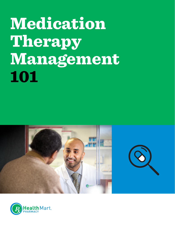# Medication Therapy Management 101





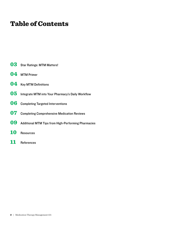### Table of Contents

- [Star Ratings: MTM Matters!](#page-2-0)
- [MTM Primer](#page-3-0)
- [Key MTM Definitions](#page-3-0)
- [Integrate MTM into Your Pharmacy's Daily Workflow](#page-4-0)
- [Completing Targeted Interventions](#page-5-0)
- [Completing Comprehensive Medication Reviews](#page-6-0)
- [Additional MTM Tips from High-Performing Pharmacies](#page-8-0)
- [Resources](#page-9-0)
- [References](#page-10-0)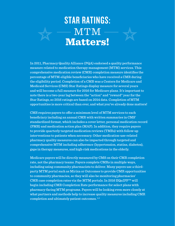# <span id="page-2-0"></span>STAR RATINGS: MTM Matters!

In 2011, Pharmacy Quality Alliance (PQA) endorsed a quality performance measure related to medication therapy management (MTM) services. This comprehensive medication review (CMR) completion measure identifies the percentage of MTM-eligible beneficiaries who have received a CMR during the eligibility period. Completion of a CMR was a Centers for Medicare and Medicaid Services (CMS) Star Ratings display measure for several years and will become a full measure for 2016 for Medicare plans. It's important to note there is a two-year lag between the "action" and "reward" year for the Star Ratings, so 2016 ratings are based on 2014 data. Completion of MTM opportunities is more critical than ever, and what you've already done matters!

CMS requires payers to offer a minimum level of MTM services to each beneficiary including an annual CMR with written summaries in CMS' standardized format, which includes a cover letter, personal medication record (PMR) and medication action plan (MAP). In addition, they require payers to provide quarterly targeted medication reviews (TMRs) with follow-up interventions to patients when necessary. Other medication-use-related pharmacy quality measures can also be impacted through targeted and comprehensive MTM including adherence (hypertension, statins, diabetes), gaps in therapy measures, and high-risk medications in the elderly.

Medicare payers will be directly measured by CMS on their CMR completion rate, not the pharmacy teams. Payers complete CMRs in multiple ways, including using community pharmacists to deliver. Many payers use a thirdparty MTM portal such as Mirixa or Outcomes to provide CMR opportunities to community pharmacies, so they will also be monitoring pharmacies' CMR case completion rates via the MTM portals. In 2016 EQuIPP™ will begin including CMR Completion Rate performance for select plans with pharmacy-facing MTM programs. Payers will be looking even more closely at what partners and methods help to increase quality measures including CMR completion and ultimately patient outcomes. 1,2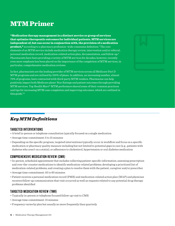### <span id="page-3-0"></span>MTM Primer

"Medication therapy management is a distinct service or group of services that optimize therapeutic outcomes for individual patients. MTM services are independent of, but can occur in conjunction with, the provision of a medication product," according to a pharmacy profession–wide consensus definition.3 The core elements of an MTM service include medication therapy review, intervention and/or referral, personal medication record, medication-related action plan, documentation, and follow-up.4 Pharmacists have been providing a variety of MTM services for decades; however, recently even more emphasis has been placed on the importance of the completion of MTM services, in particular, comprehensive medication reviews.

In fact, pharmacists are the leading provider of MTM services across all Medicare Part D MTM programs and are utilized by 100% of plans. In addition, an increasing number, almost 70% of programs, have contracted with third-party MTM vendors. Pharmacies can help positively impact both Medicare plans' Star Ratings and patient outcomes through providing MTM services. Top Health Mart® MTM performers shared some of their common practices and tips for increasing MTM case completion and improving outcomes, which are outlined in this guide.<sup>5,6</sup>

### *Key MTM Definitions*

#### TARGETED INTERVENTIONS

- A brief in-person or telephone consultation typically focused on a single medication
- Average time commitment: 5 to 15 minutes
- Depending on the specific program, targeted interventions typically occur in workflow and focus on a specific medication or pharmacy quality measure including but not limited to potential gaps in care (e.g., patients with diabetes who aren't on a statin); or adherence to cholesterol, hypertension or oral diabetes medication

#### COMPREHENSIVE MEDICATION REVIEW (CMR)

- In-person, scheduled appointment that includes collecting patient-specific information; assessing prescription and over-the-counter medications to identify medication-related problems; developing a prioritized list of medication-related problems; and creating a plan to resolve them with the patient, caregiver and/or prescriber
- Average time commitment: 45 to 60 minutes
- Patient receives a personal medication record (PMR) and medication-related action plan (MAP) and physician receives follow-up communication that visit occurred as well as requests related to any potential drug therapy problems identified

#### TARGETED MEDICATION REVIEW (TMR)

- Typically in-person or telephone focused follow-up visit to CMR
- Average time commitment: 15 minutes
- Frequency varies by plan but usually no more frequently than quarterly

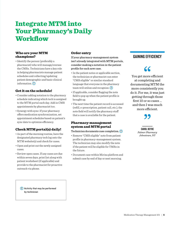### <span id="page-4-0"></span>Integrate MTM into Your Pharmacy's Daily **Workflow**

#### Who are your MTM champions?

• Identify the person (preferably a pharmacist) who will manage/oversee the CMRs. Technicians have a key role in helping pharmacists manage patient schedules and collecting/updating patient demographic and basic clinical information. $\bigcirc$ 

#### Get it on the schedule!

- Consider adding notation to the pharmacy schedule indicating which tech is assigned to the MTM portal each day. Add in CMR appointments by pharmacist too.
- Synergy with sync: If your pharmacy offers medication synchronization, set appointment schedules based on patient's sync date to optimize efficiency.

#### Check MTM portal(s) daily!

- As part of the morning routine, have the designated pharmacy tech log onto the MTM website(s) and check for cases.
- Open and print out the newly assigned cases.
- Review open cases. If any cases are due within seven days, print list along with patient worksheet (if applicable) and provide to the pharmacist for proactive outreach via phone.

Activity that may be performed by technician

#### Order entry

If your pharmacy-management system isn't already integrated with MTM portals, consider making a notation in the patient profile for each new case.

- In the patient notes or applicable section, the technician or pharmacist can enter "CMR eligible" or similar standard language that everyone in the pharmacy team will utilize and recognize.  $\bigcirc$
- If applicable, consider flagging the note field to pop up when the patient profile is brought up.
- The next time the patient record is accessed (refill, e-prescription, patient call, etc.), the note field will notify the pharmacy staff that a case is available for the patient.

#### Pharmacy-management system and MTM portal

#### Technician documents case completion.  $\Box$

- Remove "CMR eligible" note from patient profile in pharmacy-management system. The technician may also modify the note if the patient will be eligible for TMRs in the future.
- Document case within Mirixa platform and submit case by end of day or next morning.

#### GAINING EFFICIENCY

## 66

You get more efficient at completing and documenting MTM the more consistently you do it. For me, it was just getting through those first 10 or so cases … and then I was much more efficient.



CAROL DEYOE *Palmer Pharmacy Johnstown, NY*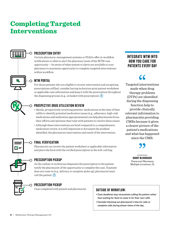### <span id="page-5-0"></span>Completing Targeted Interventions



#### PRESCRIPTION ENTRY

Certain pharmacy-management systems or PSAOs offer in-workflow notifications or edits to alert the pharmacy team of the MTM case opportunity — be aware of what system or alerts are available to your pharmacy to maximize opportunity to complete targeted interventions within workflow.

#### MTM PORTAL

For those patients who are eligible to receive intervention and are getting prescriptions refilled, consider having technician print patient worksheet or applicable case information and keep it with the prescription throughout the dispensing process (e.g., in basket with prescription).  $\overline{O}$ 

#### PROSPECTIVE DRUG UTILIZATION REVIEW

- Ideally, prospectively reviewing patients' medications at the time of their refills to identify potential medication issues (e.g., adherence, high-risk medications and medication appropriateness) can help pharmacists focus their efforts and optimize their time with patients to resolve these issues.
- Although these interventions are brief compared to a comprehensive medication review, it is still important to document the problem identified, the pharmacist intervention and result of the intervention.



#### $\cap$  final verification

Pharmacist can review the patient worksheet or applicable information and place the form with the verified prescription in the will-call bag.

#### PRESCRIPTION PICKUP

As the cashier or technician dispenses the prescription to the patient, notify the pharmacist of the opportunity to complete the case. If patient does not come in (e.g., delivery or caregiver picks up), pharmacist must call the patient.  $\bigcirc$ 



#### PRESCRIPTION PICKUP ∩

Case completed with patient and pharmacist.

#### OUTSIDE OF WORKFLOW:

- Case deadlines may necessitate calling the patient rather than waiting for them to come in for their next refill.
- Consider blocking out pharmacist's time for calls or complete calls during slower times of the day.

#### INTEGRATE MTM INTO HOW YOU CARE FOR PATIENTS EVERY DAY

72

Targeted interventions made when drug therapy problems (DTPs) are identified during the dispensing function help to provide clinically relevant information to pharmacists providing CMRs because it gives a clearer picture of the patient's medications and what has happened since the CMR.

RANDY McDONOUGH *Towncrest Pharmacy Multiple Locations, IA*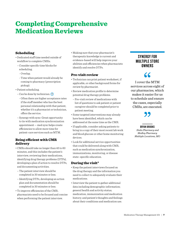### <span id="page-6-0"></span>Completing Comprehensive Medication Reviews

#### Scheduling

- Dedicated staff time needed outside of workflow to complete CMRs.
- Consider specific time blocks for scheduling.
	- Overlap.
	- Time when patient would already be coming to pharmacy (prescription pickup).
- Patient scheduling.
- $-$  Can be done by technician.  $(\mathsf{T})$ 
	- Often there are higher acceptance rates if the staff member who has the best personal relationship with that patient, whether it's a pharmacist or technician, offers the service.
- Synergy with sync: Great opportunity to tie with medication synchronization appointment — med sync helps create efficiencies to allow more time for patient-care services such as MTM.

#### Being efficient with CMR delivery

- CMRs should take no longer than 45 to 60 minutes, and this includes the patient's interview, reviewing their medications, identifying drug therapy problems (DTPs), developing a plan of action to resolve DTPs, and documenting activities.
- The patient interview should be completed in 30 minutes or less.
- Identifying DTPs, developing an action plan and documentation should be completed in 30 minutes or less.
- To improve efficiencies of the CMR, pharmacists need to be focused and concise when performing the patient interview.

• Making sure that your pharmacist's therapeutic knowledge is current and evidence-based will help improve your abilities and efficiencies when pharmacists identify and resolve DTPs.

#### Pre-visit review

- Technician can print patient worksheet, if applicable, or other background forms for review by pharmacist.
- Review medication profile to determine potential drug therapy problems.
- Pre-visit review of medications with list of questions to ask patient or patient caregiver should be completed prior to patient meeting.
- Some targeted interventions may already have been identified, which can be addressed at the same time as the CMR.
- If applicable, consider asking patients to bring in a copy of their most recent lab work and blood glucose or other home monitoring devices.
- Look for additional service opportunities that could be delivered along with CMR, such as medication synchronization, immunizations, monitoring, or disease state–specific education.

#### During the visit<sup>4</sup>

- Keep the patient interviews focused on the drug therapy and the information you need to collect to adequately evaluate their medications.
- Interview the patient to gather additional data including demographic information; general health and activity status; medication, immunization and medication history; and patient's thoughts and feelings about their conditions and medication use.

#### SYNERGY FOR MULTIPLE STORE **OWNERS**

### 66

I cover the MTM services across eight of our pharmacies, which makes it easier for us to schedule and ensure the cases, especially CMRs, are executed.

#### BRYAN BROOKS  *Sinks Pharmacy and Medley Pharmacy Multiple Locations, MO*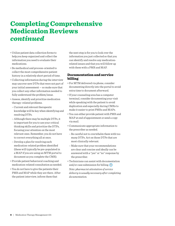### Completing Comprehensive Medication Reviews *continued*

- Utilize patient data collection forms to help you keep organized and collect the information you need to evaluate their medications.
- Be methodical and process-oriented to collect the most comprehensive patient history in a relatively short period of time.
- Collecting information during the interview may uncover new DTPs that were not part of your initial assessment — so make sure that you collect any other information needed to fully understand the problem/issue.
- Assess, identify and prioritize medication therapy–related problems.
- Current and relevant therapeutic knowledge will be key when identifying and resolving DTPs.
- Although there may be multiple DTPs, it is important for you to use your critical thinking skills and prioritize the DTPs, focusing your attention on the most relevant ones. Remember, you do not have to correct everything all at once.
- Develop a plan for resolving each medication-related problem identified (these will typically be pre-populated in a MAP if you are using an MTM portal to document as you complete the CMR).
- Provide patient behavioral coaching and medication-related consultation as needed.
- You do not have to give the patients their PMR and MAP while they are there. After the patient interview, inform them that

the next step is for you to look over the information you just collected so that you can identify and resolve any medicationrelated issues and that you will follow up with them with a PMR and MAP.

#### Documentation and service billing

- For MTM delivered via phone, consider documenting directly into the portal to avoid extra time to document afterward.
- If your counseling area has a computer terminal, consider documenting your visit while speaking with the patient to avoid duplication and especially during CMRs to make it easier to print PMRs and MAPs.
- You can either provide patient with PMR and MAP at end of appointment or send a copy via mail.
- Communicate appropriate information to the prescriber as needed.
- Be careful not to overwhelm them with too many DTPs. Act on those DTPs that are most clinically relevant.
- Make sure that your recommendations are clear and concise and ideally can be answered with a "yes" or "no" response by the prescriber.
- Technicians can assist with documentation and/or case submission for billing.  $(\mathbf{I})$ *Note: pharmacist attestation of service delivery is usually necessary after completing documentation.*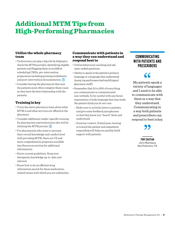### <span id="page-8-0"></span>Additional MTM Tips from High-Performing Pharmacies

#### Utilize the whole pharmacy team

- Technicians can play a big role by helping to check the MTM portal(s), identifying eligible patients and flagging them in workflow, scheduling CMRs, pre-intervention preparation including printing worksheets, and post-intervention documentation.  $\overline{1}$
- Consider having the pharmacist that sees the patients most often complete these cases as they have the best relationship with the patients.

#### Training is key

- Train the entire pharmacy team about what MTM is and what services are offered at the pharmacy.
- Consider additional vendor-specific training for pharmacists and technicians who will be utilizing the MTM portals.  $\overline{1}$
- For pharmacists who want to increase their overall knowledge and comfort level with providing MTM, there are CE and more comprehensive programs available (see Resources section for additional information).
- Know current guidelines. Keep your therapeutic knowledge up-to-date and relevant.
- Know how to do an efficient drug information search for those medicationrelated issues with which you are unfamiliar.

#### Communicate with patients in a way they can understand and respond best to

- Utilize behavioral coaching and ask open-ended questions.
- Ability to speak in the patient's primary language or a language they understand (many top performers had multilingual pharmacy staff).
- Remember that 50 to 95% of everything you communicate is communicated non-verbally. So be careful with any facial expressions or body language that may make the patient think you do not care.
- Make sure to actively listen to patients, and give some feedback/paraphrases so that they know you "heard" them and understand.
- Good eye contact, frontal pose, leaning in toward the patient and empathetic responding will help you quickly build rapport with patients.

### COMMUNICATING WITH PATIENTS AND **PRESCRIBERS**



My patients speak a variety of languages and I need to be able to communicate with them in a way that they understand. Communicating in a way both patients and prescribers can respond to best is key.

TONY BASTIAN *Joe's Pharmacy San Francisco, CA*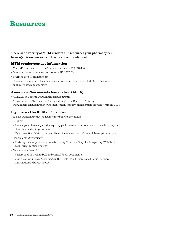### <span id="page-9-0"></span>Resources

#### There are a variety of MTM vendors and resources your pharmacy can leverage. Below are some of the most commonly used.

#### MTM vendor contact information

- MirixaPro: www.mirixa.com/for\_pharmacists or 866.218.6649
- Outcomes: www.outcomesmtm.com/ or 515.237.0001
- Socrates: http://socrxates.com
- Check with your state pharmacy association for any state or local MTM or pharmacy quality–related opportunities

#### American Pharmacists Association (APhA)

- APhA MTM Central: www.pharmacist.com/mtm
- APhA Delivering Medication Therapy Management Services Training: www.pharmacist.com/delivering-medication-therapy-management-services-training-2015

#### If you are a Health Mart® member:

You have additional value-added member benefits including:

- EQuIPP
- Review your pharmacy's unique quality performance data, compare it to benchmarks, and identify areas for improvement
- If you are a Health Mart or AccessHealth® member, this tool is available to you at no cost
- Health Mart University<sup>SM</sup>
- Training for your pharmacy team including "Practical Steps for Integrating MTM into Your Daily Practice Routine" CE
- *Pharmacist's Letter®*
- Variety of MTM-related CE and clinical detail documents
- Visit the *Pharmacist's Letter* page in the Health Mart Operations Manual for more information and direct access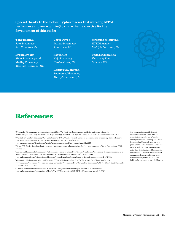<span id="page-10-0"></span>**Special thanks to the following pharmacies that were top MTM performers and were willing to share their expertise for the development of this guide:** 

**Tony Bastian** Joe's Pharmacy *San Francisco, CA*

**Bryan Brooks** Sinks Pharmacy and Medley Pharmacy *Multiple Locations, MO*

**Carol Deyoe** Palmer Pharmacy *Johnstown, NY*

**Scott Kim** Kaju Pharmacy *Garden Grove, CA*

**Randy McDonough** Towncrest Pharmacy *Multiple Locations, IA*

**Siranush Miduryan** HYE Pharmacy *Multiple Locations, CA*

**Luda Moskalenko** Pharmacy Plus *Bellevue, WA*



### **References**

- <sup>1</sup> Centers for Medicare and Medicaid Services. CMS MTM Program Requirements and Information. Available at: www.cms.gov/Medicare/Prescription-Drug-Coverage/PrescriptionDrugCovContra/MTM.html. Accessed March 19, 2015.
- <sup>2</sup> The Patient-Centered Primary Care Collaborative (PCPCC). The Patient-Centered Medical Home: Integrating Comprehensive Medication Management to Optimize Patient Outcomes. 2012. Available at:
- www.pcpcc.org/sites/default/files/media/medmanagement.pdf. Accessed March 19, 2015.
- <sup>3</sup> Bluml BM. "Definition of medication therapy management: development of profession wide consensus." *J Am Pharm Assoc.* 2005; 45:566–72.
- <sup>4</sup> American Pharmacists Association, National Association of Chain Drug Stores Foundation. "Medication therapy management in community pharmacy practice: core elements of an MTM service (version 2.0)." March 2008. www.pharmacist.com/sites/default/files/files/core\_elements\_of\_an\_mtm\_practice.pdf. Accessed March 19, 2015.

<sup>5</sup> Centers for Medicare and Medicaid Services. CY2014 Medication Part D MTM Programs. Fact Sheet. Available at: www.cms.gov/Medicare/Prescription-Drug-Coverage/PrescriptionDrugCovContra/Downloads/CY2014-MTM-Fact-Sheet.pdf. Accessed March 22, 2015.

<sup>6</sup> American Pharmacists Association. *Medication Therapy Management Digest.* March 2014. Available at: www.pharmacist.com/sites/default/files/MTM%20Digest\_2014%20FINAL.pdf. Accessed March 17, 2015. The information provided here is for reference use only and does not constitute the rendering of legal or other professional advice by McKesson. Readers should consult appropriate professionals for advice and assistance prior to making important decisions regarding their business. McKesson is not advocating any particular program or approach herein. McKesson is not responsible for, nor will it bear any liability for the content provided herein.